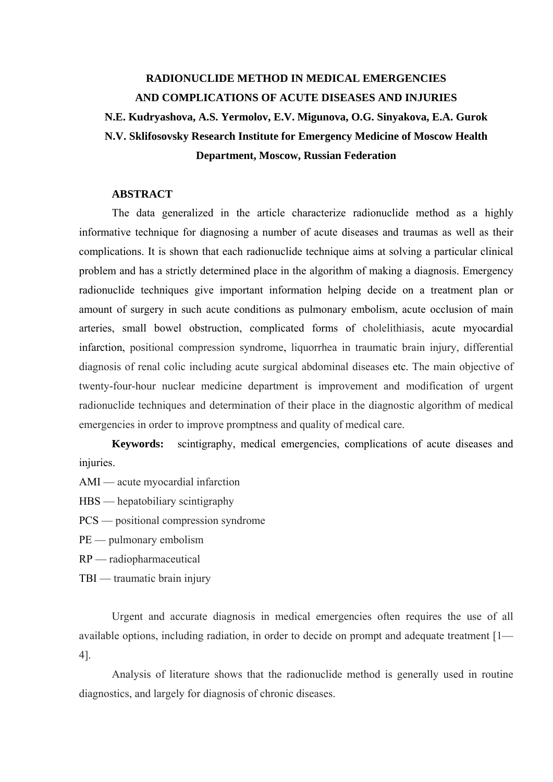## **RADIONUCLIDE METHOD IN MEDICAL EMERGENCIES AND COMPLICATIONS OF ACUTE DISEASES AND INJURIES N.E. Kudryashova, A.S. Yermolov, E.V. Migunova, O.G. Sinyakova, E.A. Gurok N.V. Sklifosovsky Research Institute for Emergency Medicine of Moscow Health Department, Moscow, Russian Federation**

## **ABSTRACT**

The data generalized in the article characterize radionuclide method as a highly informative technique for diagnosing a number of acute diseases and traumas as well as their complications. It is shown that each radionuclide technique aims at solving a particular clinical problem and has a strictly determined place in the algorithm of making a diagnosis. Emergency radionuclide techniques give important information helping decide on a treatment plan or amount of surgery in such acute conditions as pulmonary embolism, acute occlusion of main arteries, small bowel obstruction, complicated forms of cholelithiasis, acute myocardial infarction, positional compression syndrome, liquorrhea in traumatic brain injury, differential diagnosis of renal colic including acute surgical abdominal diseases etc. The main objective of twenty-four-hour nuclear medicine department is improvement and modification of urgent radionuclide techniques and determination of their place in the diagnostic algorithm of medical emergencies in order to improve promptness and quality of medical care.

**Keywords:** scintigraphy, medical emergencies, complications of acute diseases and injuries.

AMI — acute myocardial infarction

HBS — hepatobiliary scintigraphy

PCS — positional compression syndrome

PE — pulmonary embolism

RP — radiopharmaceutical

TBI — traumatic brain injury

Urgent and accurate diagnosis in medical emergencies often requires the use of all available options, including radiation, in order to decide on prompt and adequate treatment [1— 4].

Analysis of literature shows that the radionuclide method is generally used in routine diagnostics, and largely for diagnosis of chronic diseases.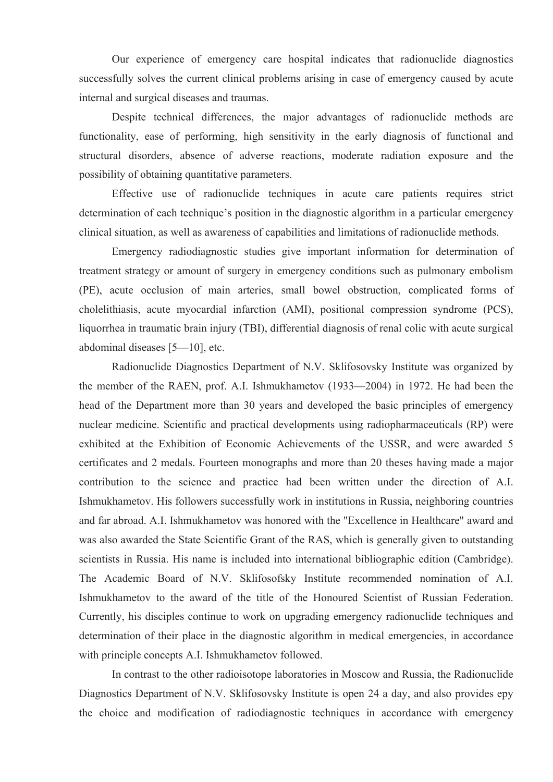Our experience of emergency care hospital indicates that radionuclide diagnostics successfully solves the current clinical problems arising in case of emergency caused by acute internal and surgical diseases and traumas.

Despite technical differences, the major advantages of radionuclide methods are functionality, ease of performing, high sensitivity in the early diagnosis of functional and structural disorders, absence of adverse reactions, moderate radiation exposure and the possibility of obtaining quantitative parameters.

Effective use of radionuclide techniques in acute care patients requires strict determination of each technique's position in the diagnostic algorithm in a particular emergency clinical situation, as well as awareness of capabilities and limitations of radionuclide methods.

Emergency radiodiagnostic studies give important information for determination of treatment strategy or amount of surgery in emergency conditions such as pulmonary embolism (PE), acute occlusion of main arteries, small bowel obstruction, complicated forms of cholelithiasis, acute myocardial infarction (AMI), positional compression syndrome (PCS), liquorrhea in traumatic brain injury (TBI), differential diagnosis of renal colic with acute surgical abdominal diseases [5—10], etc.

Radionuclide Diagnostics Department of N.V. Sklifosovsky Institute was organized by the member of the RAEN, prof. A.I. Ishmukhametov (1933—2004) in 1972. He had been the head of the Department more than 30 years and developed the basic principles of emergency nuclear medicine. Scientific and practical developments using radiopharmaceuticals (RP) were exhibited at the Exhibition of Economic Achievements of the USSR, and were awarded 5 certificates and 2 medals. Fourteen monographs and more than 20 theses having made a major contribution to the science and practice had been written under the direction of A.I. Ishmukhametov. His followers successfully work in institutions in Russia, neighboring countries and far abroad. A.I. Ishmukhametov was honored with the "Excellence in Healthcare" award and was also awarded the State Scientific Grant of the RAS, which is generally given to outstanding scientists in Russia. His name is included into international bibliographic edition (Cambridge). The Academic Board of N.V. Sklifosofsky Institute recommended nomination of A.I. Ishmukhametov to the award of the title of the Honoured Scientist of Russian Federation. Currently, his disciples continue to work on upgrading emergency radionuclide techniques and determination of their place in the diagnostic algorithm in medical emergencies, in accordance with principle concepts A.I. Ishmukhametov followed.

In contrast to the other radioisotope laboratories in Moscow and Russia, the Radionuclide Diagnostics Department of N.V. Sklifosovsky Institute is open 24 a day, and also provides еру the choice and modification of radiodiagnostic techniques in accordance with emergency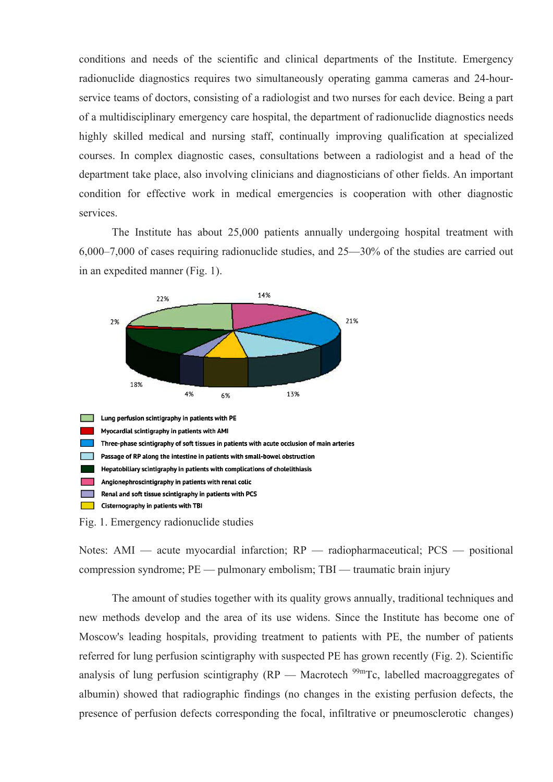conditions and needs of the scientific and clinical departments of the Institute. Emergency radionuclide diagnostics requires two simultaneously operating gamma cameras and 24-hourservice teams of doctors, consisting of a radiologist and two nurses for each device. Being a part of a multidisciplinary emergency care hospital, the department of radionuclide diagnostics needs highly skilled medical and nursing staff, continually improving qualification at specialized courses. In complex diagnostic cases, consultations between a radiologist and a head of the department take place, also involving clinicians and diagnosticians of other fields. An important condition for effective work in medical emergencies is cooperation with other diagnostic services.

The Institute has about 25,000 patients annually undergoing hospital treatment with 6,000–7,000 of cases requiring radionuclide studies, and 25—30% of the studies are carried out in an expedited manner (Fig. 1).



Notes: AMI — acute myocardial infarction; RP — radiopharmaceutical; PCS — positional compression syndrome; PE — pulmonary embolism; TBI — traumatic brain injury

The amount of studies together with its quality grows annually, traditional techniques and new methods develop and the area of its use widens. Since the Institute has become one of Moscow's leading hospitals, providing treatment to patients with PE, the number of patients referred for lung perfusion scintigraphy with suspected PE has grown recently (Fig. 2). Scientific analysis of lung perfusion scintigraphy  $(RP - Macrotech<sup>99m</sup>Tc$ , labelled macroaggregates of albumin) showed that radiographic findings (no changes in the existing perfusion defects, the presence of perfusion defects corresponding the focal, infiltrative or pneumosclerotic changes)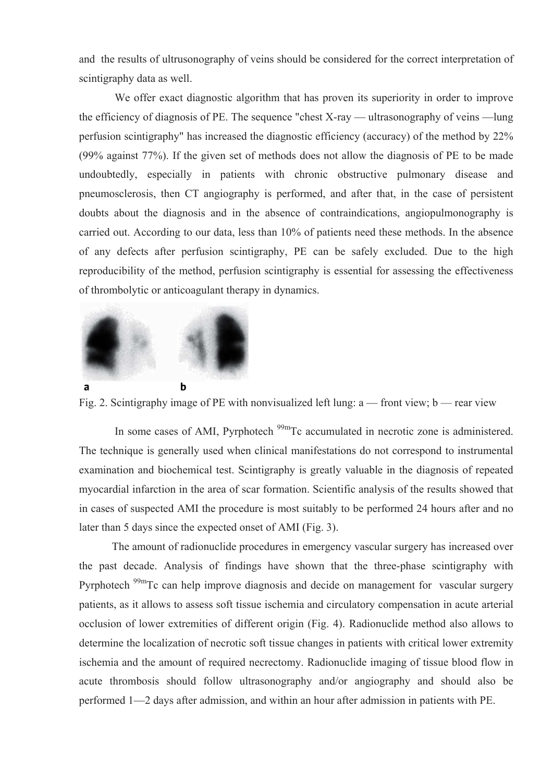and the results of ultrusonography of veins should be considered for the correct interpretation of scintigraphy data as well.

 We offer exact diagnostic algorithm that has proven its superiority in order to improve the efficiency of diagnosis of PE. The sequence "chest X-ray — ultrasonography of veins —lung perfusion scintigraphy" has increased the diagnostic efficiency (accuracy) of the method by 22% (99% against 77%). If the given set of methods does not allow the diagnosis of PE to be made undoubtedly, especially in patients with chronic obstructive pulmonary disease and pneumosclerosis, then CT angiography is performed, and after that, in the case of persistent doubts about the diagnosis and in the absence of contraindications, angiopulmonography is carried out. According to our data, less than 10% of patients need these methods. In the absence of any defects after perfusion scintigraphy, PE can be safely excluded. Due to the high reproducibility of the method, perfusion scintigraphy is essential for assessing the effectiveness of thrombolytic or anticoagulant therapy in dynamics.



Fig. 2. Scintigraphy image of PE with nonvisualized left lung: a — front view; b — rear view

In some cases of AMI, Pyrphotech <sup>99m</sup>Tc accumulated in necrotic zone is administered. The technique is generally used when clinical manifestations do not correspond to instrumental examination and biochemical test. Scintigraphy is greatly valuable in the diagnosis of repeated myocardial infarction in the area of scar formation. Scientific analysis of the results showed that in cases of suspected AMI the procedure is most suitably to be performed 24 hours after and no later than 5 days since the expected onset of AMI (Fig. 3).

The amount of radionuclide procedures in emergency vascular surgery has increased over the past decade. Analysis of findings have shown that the three-phase scintigraphy with Pyrphotech <sup>99m</sup>Tc can help improve diagnosis and decide on management for vascular surgery patients, as it allows to assess soft tissue ischemia and circulatory compensation in acute arterial occlusion of lower extremities of different origin (Fig. 4). Radionuclide method also allows to determine the localization of necrotic soft tissue changes in patients with critical lower extremity ischemia and the amount of required necrectomy. Radionuclide imaging of tissue blood flow in acute thrombosis should follow ultrasonography and/or angiography and should also be performed 1—2 days after admission, and within an hour after admission in patients with PE.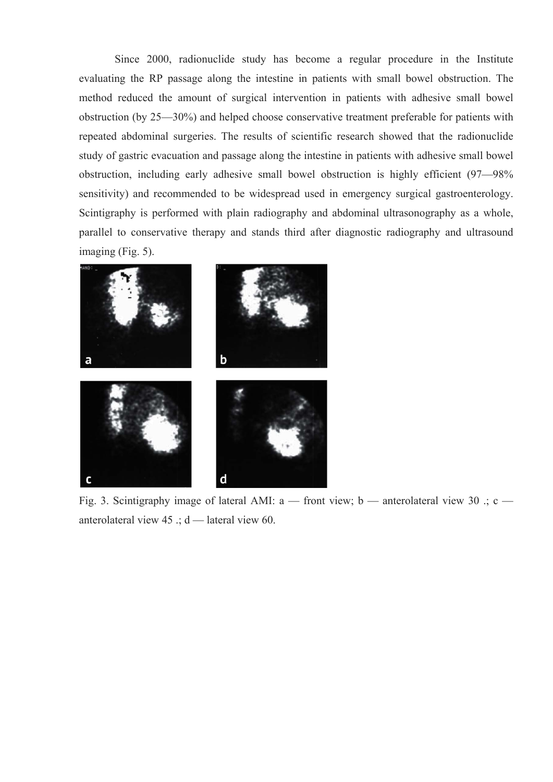Since 2000, radionuclide study has become a regular procedure in the Institute evaluating the RP passage along the intestine in patients with small bowel obstruction. The method reduced the amount of surgical intervention in patients with adhesive small bowel obstruction (by 25—30%) and helped choose conservative treatment preferable for patients with repeated abdominal surgeries. The results of scientific research showed that the radionuclide study of gastric evacuation and passage along the intestine in patients with adhesive small bowel obstruction, including early adhesive small bowel obstruction is highly efficient (97—98% sensitivity) and recommended to be widespread used in emergency surgical gastroenterology. Scintigraphy is performed with plain radiography and abdominal ultrasonography as a whole, parallel to conservative therapy and stands third after diagnostic radiography and ultrasound imaging (Fig. 5).



Fig. 3. Scintigraphy image of lateral AMI: a — front view; b — anterolateral view 30 .; c anterolateral view 45 .; d — lateral view 60.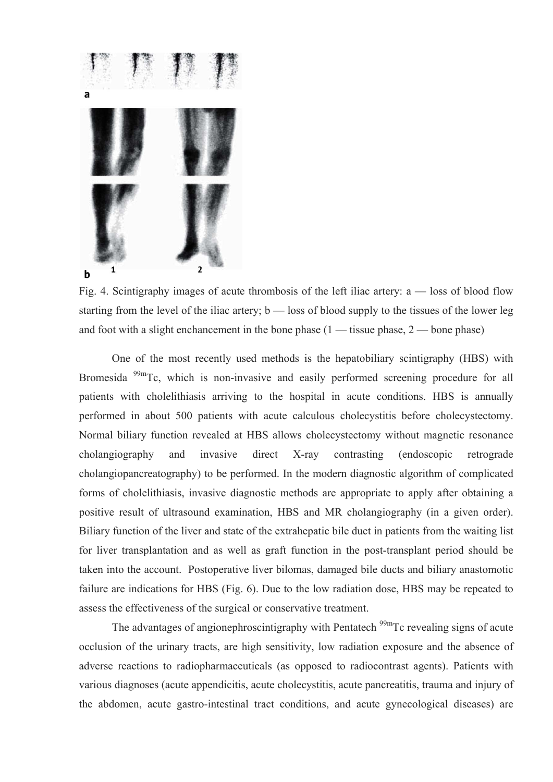

Fig. 4. Scintigraphy images of acute thrombosis of the left iliac artery: a — loss of blood flow starting from the level of the iliac artery; b — loss of blood supply to the tissues of the lower leg and foot with a slight enchancement in the bone phase  $(1 -$  tissue phase,  $2 -$  bone phase)

One of the most recently used methods is the hepatobiliary scintigraphy (HBS) with Bromesida  $^{99m}$ Tc, which is non-invasive and easily performed screening procedure for all patients with cholelithiasis arriving to the hospital in acute conditions. HBS is annually performed in about 500 patients with acute calculous cholecystitis before cholecystectomy. Normal biliary function revealed at HBS allows cholecystectomy without magnetic resonance cholangiography and invasive direct X-ray contrasting (endoscopic retrograde cholangiopancreatography) to be performed. In the modern diagnostic algorithm of complicated forms of cholelithiasis, invasive diagnostic methods are appropriate to apply after obtaining a positive result of ultrasound examination, HBS and MR cholangiography (in a given order). Biliary function of the liver and state of the extrahepatic bile duct in patients from the waiting list for liver transplantation and as well as graft function in the post-transplant period should be taken into the account. Postoperative liver bilomas, damaged bile ducts and biliary anastomotic failure are indications for HBS (Fig. 6). Due to the low radiation dose, HBS may be repeated to assess the effectiveness of the surgical or conservative treatment.

The advantages of angionephroscintigraphy with Pentatech  $\frac{99 \text{m}}{2}$  Tc revealing signs of acute occlusion of the urinary tracts, are high sensitivity, low radiation exposure and the absence of adverse reactions to radiopharmaceuticals (as opposed to radiocontrast agents). Patients with various diagnoses (acute appendicitis, acute cholecystitis, acute pancreatitis, trauma and injury of the abdomen, acute gastro-intestinal tract conditions, and acute gynecological diseases) are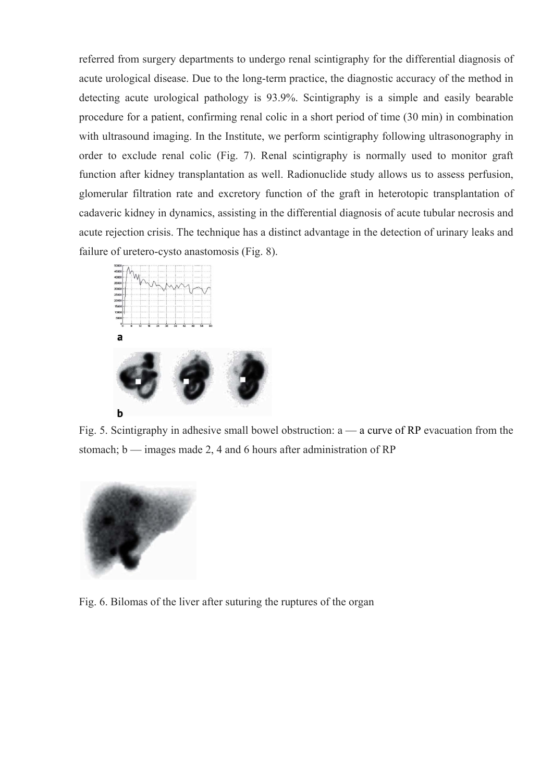referred from surgery departments to undergo renal scintigraphy for the differential diagnosis of acute urological disease. Due to the long-term practice, the diagnostic accuracy of the method in detecting acute urological pathology is 93.9%. Scintigraphy is a simple and easily bearable procedure for a patient, confirming renal colic in a short period of time (30 min) in combination with ultrasound imaging. In the Institute, we perform scintigraphy following ultrasonography in order to exclude renal colic (Fig. 7). Renal scintigraphy is normally used to monitor graft function after kidney transplantation as well. Radionuclide study allows us to assess perfusion, glomerular filtration rate and excretory function of the graft in heterotopic transplantation of cadaveric kidney in dynamics, assisting in the differential diagnosis of acute tubular necrosis and acute rejection crisis. The technique has a distinct advantage in the detection of urinary leaks and failure of uretero-cysto anastomosis (Fig. 8).



Fig. 5. Scintigraphy in adhesive small bowel obstruction:  $a - a$  curve of RP evacuation from the stomach; b — images made 2, 4 and 6 hours after administration of RP



Fig. 6. Bilomas of the liver after suturing the ruptures of the organ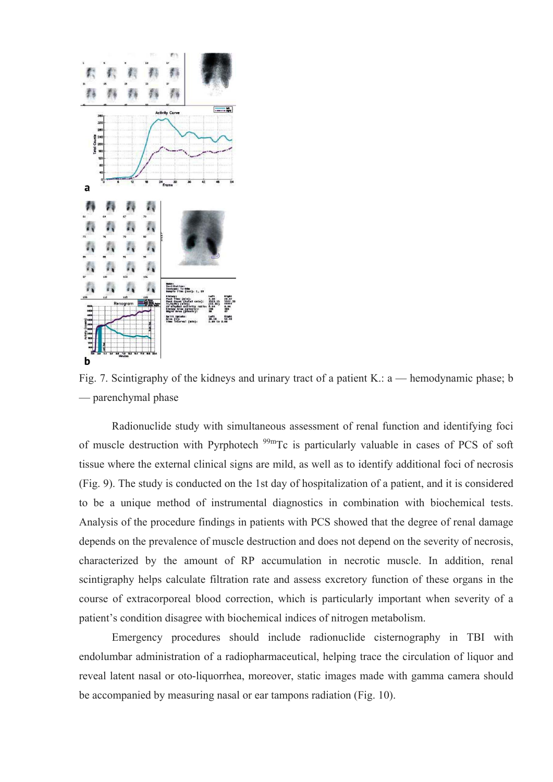

Fig. 7. Scintigraphy of the kidneys and urinary tract of a patient K.: a — hemodynamic phase; b — parenchymal phase

Radionuclide study with simultaneous assessment of renal function and identifying foci of muscle destruction with Pyrphotech  $^{99m}$ Tc is particularly valuable in cases of PCS of soft tissue where the external clinical signs are mild, as well as to identify additional foci of necrosis (Fig. 9). The study is conducted on the 1st day of hospitalization of a patient, and it is considered to be a unique method of instrumental diagnostics in combination with biochemical tests. Analysis of the procedure findings in patients with PCS showed that the degree of renal damage depends on the prevalence of muscle destruction and does not depend on the severity of necrosis, characterized by the amount of RP accumulation in necrotic muscle. In addition, renal scintigraphy helps calculate filtration rate and assess excretory function of these organs in the course of extracorporeal blood correction, which is particularly important when severity of a patient's condition disagree with biochemical indices of nitrogen metabolism.

Emergency procedures should include radionuclide cisternography in TBI with endolumbar administration of a radiopharmaceutical, helping trace the circulation of liquor and reveal latent nasal or oto-liquorrhea, moreover, static images made with gamma camera should be accompanied by measuring nasal or ear tampons radiation (Fig. 10).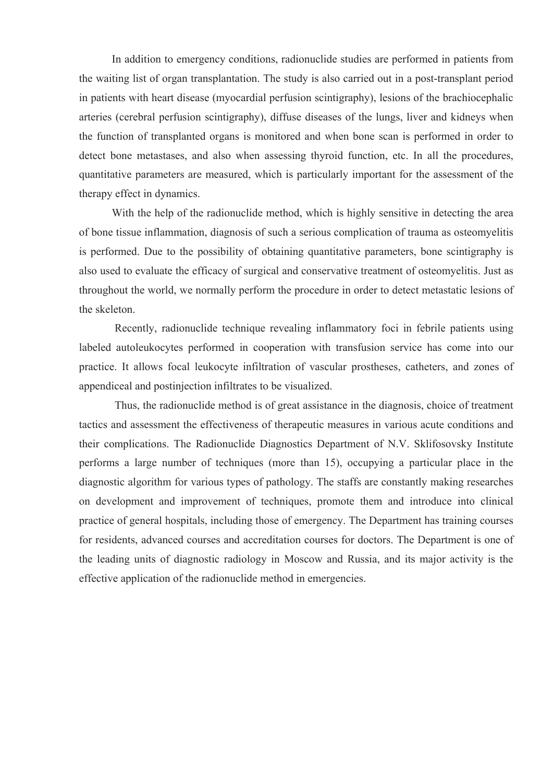In addition to emergency conditions, radionuclide studies are performed in patients from the waiting list of organ transplantation. The study is also carried out in a post-transplant period in patients with heart disease (myocardial perfusion scintigraphy), lesions of the brachiocephalic arteries (cerebral perfusion scintigraphy), diffuse diseases of the lungs, liver and kidneys when the function of transplanted organs is monitored and when bone scan is performed in order to detect bone metastases, and also when assessing thyroid function, etc. In all the procedures, quantitative parameters are measured, which is particularly important for the assessment of the therapy effect in dynamics.

With the help of the radionuclide method, which is highly sensitive in detecting the area of bone tissue inflammation, diagnosis of such a serious complication of trauma as osteomyelitis is performed. Due to the possibility of obtaining quantitative parameters, bone scintigraphy is also used to evaluate the efficacy of surgical and conservative treatment of osteomyelitis. Just as throughout the world, we normally perform the procedure in order to detect metastatic lesions of the skeleton.

 Recently, radionuclide technique revealing inflammatory foci in febrile patients using labeled autoleukocytes performed in cooperation with transfusion service has come into our practice. It allows focal leukocyte infiltration of vascular prostheses, catheters, and zones of appendiceal and postinjection infiltrates to be visualized.

 Thus, the radionuclide method is of great assistance in the diagnosis, choice of treatment tactics and assessment the effectiveness of therapeutic measures in various acute conditions and their complications. The Radionuclide Diagnostics Department of N.V. Sklifosovsky Institute performs a large number of techniques (more than 15), occupying a particular place in the diagnostic algorithm for various types of pathology. The staffs are constantly making researches on development and improvement of techniques, promote them and introduce into clinical practice of general hospitals, including those of emergency. The Department has training courses for residents, advanced courses and accreditation courses for doctors. The Department is one of the leading units of diagnostic radiology in Moscow and Russia, and its major activity is the effective application of the radionuclide method in emergencies.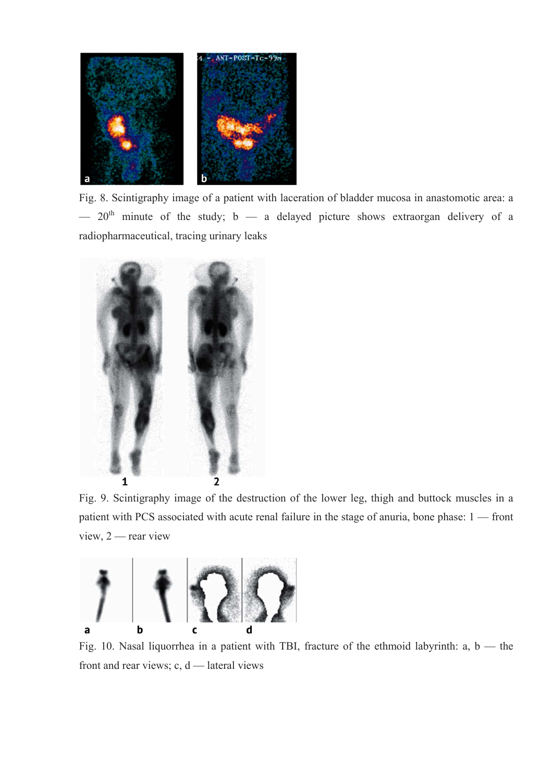

Fig. 8. Scintigraphy image of a patient with laceration of bladder mucosa in anastomotic area: a  $-$  20<sup>th</sup> minute of the study; b  $-$  a delayed picture shows extraorgan delivery of a radiopharmaceutical, tracing urinary leaks



Fig. 9. Scintigraphy image of the destruction of the lower leg, thigh and buttock muscles in a patient with PCS associated with acute renal failure in the stage of anuria, bone phase: 1 — front view, 2 — rear view



Fig. 10. Nasal liquorrhea in a patient with TBI, fracture of the ethmoid labyrinth: a, b — the front and rear views;  $c, d$  — lateral views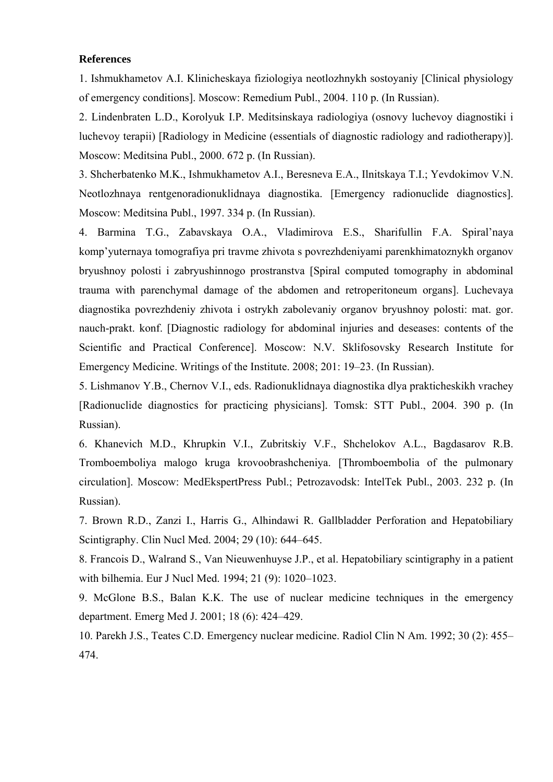## **References**

1. Ishmukhametov A.I. Klinicheskaya fiziologiya neotlozhnykh sostoyaniy [Clinical physiology of emergency conditions]. Moscow: Remedium Publ., 2004. 110 p. (In Russian).

2. Lindenbraten L.D., Korolyuk I.P. Meditsinskaya radiologiya (osnovy luchevoy diagnostiki i luchevoy terapii) [Radiology in Medicine (essentials of diagnostic radiology and radiotherapy)]. Moscow: Meditsina Publ., 2000. 672 p. (In Russian).

3. Shcherbatenko M.K., Ishmukhametov A.I., Beresneva E.A., Ilnitskaya T.I.; Yevdokimov V.N. Neotlozhnaya rentgenoradionuklidnaya diagnostika. [Emergency radionuclide diagnostics]. Moscow: Meditsina Publ., 1997. 334 p. (In Russian).

4. Barmina T.G., Zabavskaya O.A., Vladimirova E.S., Sharifullin F.A. Spiral'naya komp'yuternaya tomografiya pri travme zhivota s povrezhdeniyami parenkhimatoznykh organov bryushnoy polosti i zabryushinnogo prostranstva [Spiral computed tomography in abdominal trauma with parenchymal damage of the abdomen and retroperitoneum organs]. Luchevaya diagnostika povrezhdeniy zhivota i ostrykh zabolevaniy organov bryushnoy polosti: mat. gor. nauch-prakt. konf. [Diagnostic radiology for abdominal injuries and deseases: contents of the Scientific and Practical Conference]. Moscow: N.V. Sklifosovsky Research Institute for Emergency Medicine. Writings of the Institute. 2008; 201: 19–23. (In Russian).

5. Lishmanov Y.B., Chernov V.I., eds. Radionuklidnaya diagnostika dlya prakticheskikh vrachey [Radionuclide diagnostics for practicing physicians]. Tomsk: STT Publ., 2004. 390 p. (In Russian).

6. Khanevich M.D., Khrupkin V.I., Zubritskiy V.F., Shchelokov A.L., Bagdasarov R.B. Tromboemboliya malogo kruga krovoobrashcheniya. [Thromboembolia of the pulmonary circulation]. Moscow: MedEkspertPress Publ.; Petrozavodsk: IntelTek Publ., 2003. 232 p. (In Russian).

7. Brown R.D., Zanzi I., Harris G., Alhindawi R. Gallbladder Perforation and Hepatobiliary Scintigraphy. Clin Nucl Med. 2004; 29 (10): 644–645.

8. Francois D., Walrand S., Van Nieuwenhuyse J.P., et al. Hepatobiliary scintigraphy in a patient with bilhemia. Eur J Nucl Med. 1994; 21 (9): 1020–1023.

9. McGlone B.S., Balan K.K. The use of nuclear medicine techniques in the emergency department. Emerg Med J. 2001; 18 (6): 424–429.

10. Parekh J.S., Teates C.D. Emergency nuclear medicine. Radiol Clin N Am. 1992; 30 (2): 455– 474.